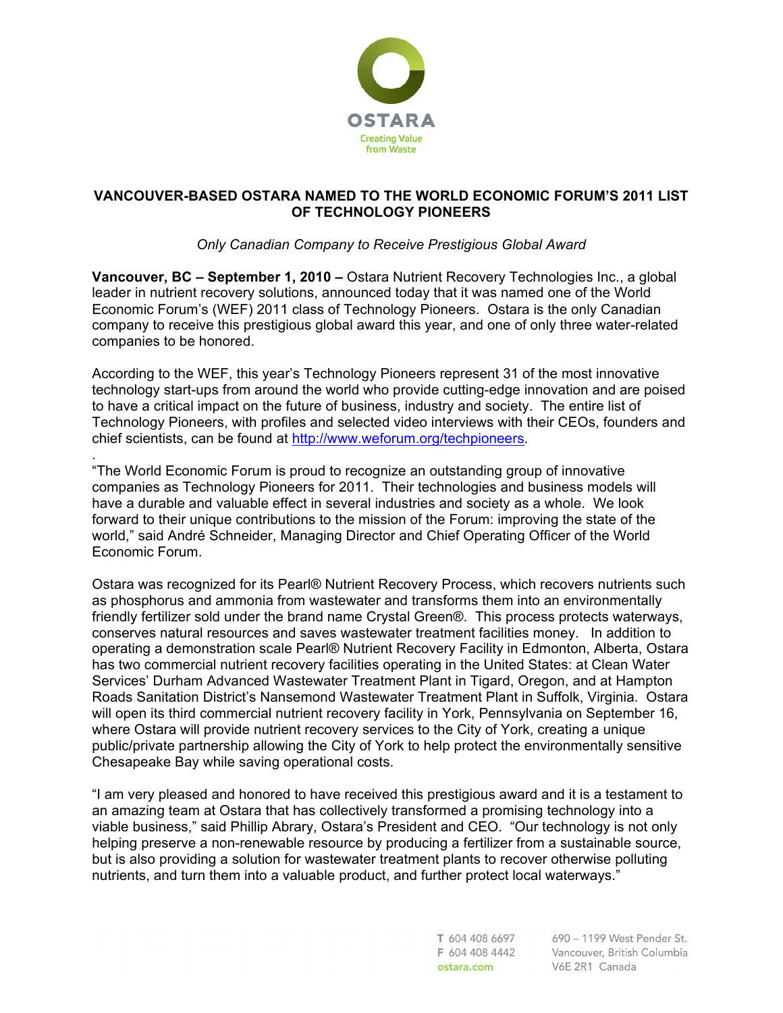

# **VANCOUVER-BASED OSTARA NAMED TO THE WORLD ECONOMIC FORUM'S 2011 LIST OF TECHNOLOGY PIONEERS**

# *Only Canadian Company to Receive Prestigious Global Award*

**Vancouver, BC – September 1, 2010 –** Ostara Nutrient Recovery Technologies Inc., a global leader in nutrient recovery solutions, announced today that it was named one of the World Economic Forum's (WEF) 2011 class of Technology Pioneers. Ostara is the only Canadian company to receive this prestigious global award this year, and one of only three water-related companies to be honored.

According to the WEF, this year's Technology Pioneers represent 31 of the most innovative technology start-ups from around the world who provide cutting-edge innovation and are poised to have a critical impact on the future of business, industry and society. The entire list of Technology Pioneers, with profiles and selected video interviews with their CEOs, founders and chief scientists, can be found at http://www.weforum.org/techpioneers.

. "The World Economic Forum is proud to recognize an outstanding group of innovative companies as Technology Pioneers for 2011. Their technologies and business models will have a durable and valuable effect in several industries and society as a whole. We look forward to their unique contributions to the mission of the Forum: improving the state of the world," said André Schneider, Managing Director and Chief Operating Officer of the World Economic Forum.

Ostara was recognized for its Pearl® Nutrient Recovery Process, which recovers nutrients such as phosphorus and ammonia from wastewater and transforms them into an environmentally friendly fertilizer sold under the brand name Crystal Green®. This process protects waterways, conserves natural resources and saves wastewater treatment facilities money. In addition to operating a demonstration scale Pearl® Nutrient Recovery Facility in Edmonton, Alberta, Ostara has two commercial nutrient recovery facilities operating in the United States: at Clean Water Services' Durham Advanced Wastewater Treatment Plant in Tigard, Oregon, and at Hampton Roads Sanitation District's Nansemond Wastewater Treatment Plant in Suffolk, Virginia. Ostara will open its third commercial nutrient recovery facility in York, Pennsylvania on September 16, where Ostara will provide nutrient recovery services to the City of York, creating a unique public/private partnership allowing the City of York to help protect the environmentally sensitive Chesapeake Bay while saving operational costs.

"I am very pleased and honored to have received this prestigious award and it is a testament to an amazing team at Ostara that has collectively transformed a promising technology into a viable business," said Phillip Abrary, Ostara's President and CEO. "Our technology is not only helping preserve a non-renewable resource by producing a fertilizer from a sustainable source, but is also providing a solution for wastewater treatment plants to recover otherwise polluting nutrients, and turn them into a valuable product, and further protect local waterways."

> T 604 408 6697 F 604 408 4442 ostara.com

690 - 1199 West Pender St. Vancouver, British Columbia V6E 2R1 Canada